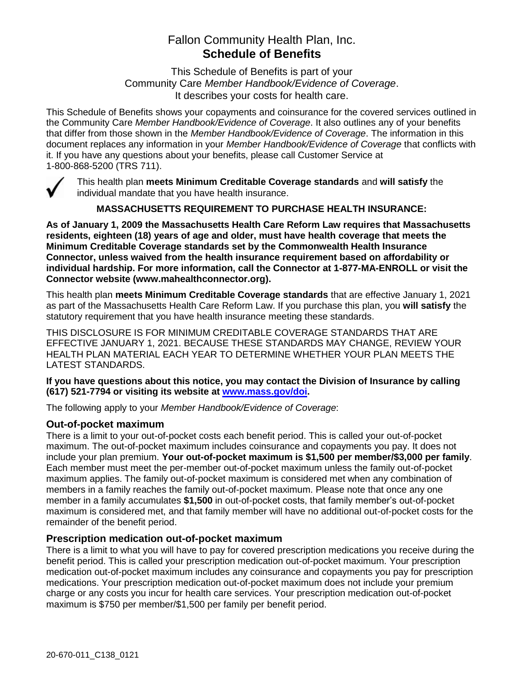## Fallon Community Health Plan, Inc. **Schedule of Benefits**

This Schedule of Benefits is part of your Community Care *Member Handbook/Evidence of Coverage*. It describes your costs for health care.

This Schedule of Benefits shows your copayments and coinsurance for the covered services outlined in the Community Care *Member Handbook/Evidence of Coverage*. It also outlines any of your benefits that differ from those shown in the *Member Handbook/Evidence of Coverage*. The information in this document replaces any information in your *Member Handbook/Evidence of Coverage* that conflicts with it. If you have any questions about your benefits, please call Customer Service at 1-800-868-5200 (TRS 711).



This health plan **meets Minimum Creditable Coverage standards** and **will satisfy** the individual mandate that you have health insurance.

**MASSACHUSETTS REQUIREMENT TO PURCHASE HEALTH INSURANCE:**

**As of January 1, 2009 the Massachusetts Health Care Reform Law requires that Massachusetts residents, eighteen (18) years of age and older, must have health coverage that meets the Minimum Creditable Coverage standards set by the Commonwealth Health Insurance Connector, unless waived from the health insurance requirement based on affordability or individual hardship. For more information, call the Connector at 1-877-MA-ENROLL or visit the Connector website (www.mahealthconnector.org).** 

This health plan **meets Minimum Creditable Coverage standards** that are effective January 1, 2021 as part of the Massachusetts Health Care Reform Law. If you purchase this plan, you **will satisfy** the statutory requirement that you have health insurance meeting these standards.

THIS DISCLOSURE IS FOR MINIMUM CREDITABLE COVERAGE STANDARDS THAT ARE EFFECTIVE JANUARY 1, 2021. BECAUSE THESE STANDARDS MAY CHANGE, REVIEW YOUR HEALTH PLAN MATERIAL EACH YEAR TO DETERMINE WHETHER YOUR PLAN MEETS THE LATEST STANDARDS.

**If you have questions about this notice, you may contact the Division of Insurance by calling (617) 521-7794 or visiting its website at [www.mass.gov/doi.](http://www.mass.gov/doi)** 

The following apply to your *Member Handbook/Evidence of Coverage*:

#### **Out-of-pocket maximum**

There is a limit to your out-of-pocket costs each benefit period. This is called your out-of-pocket maximum. The out-of-pocket maximum includes coinsurance and copayments you pay. It does not include your plan premium. **Your out-of-pocket maximum is \$1,500 per member/\$3,000 per family**. Each member must meet the per-member out-of-pocket maximum unless the family out-of-pocket maximum applies. The family out-of-pocket maximum is considered met when any combination of members in a family reaches the family out-of-pocket maximum. Please note that once any one member in a family accumulates **\$1,500** in out-of-pocket costs, that family member's out-of-pocket maximum is considered met, and that family member will have no additional out-of-pocket costs for the remainder of the benefit period.

#### **Prescription medication out-of-pocket maximum**

There is a limit to what you will have to pay for covered prescription medications you receive during the benefit period. This is called your prescription medication out-of-pocket maximum. Your prescription medication out-of-pocket maximum includes any coinsurance and copayments you pay for prescription medications. Your prescription medication out-of-pocket maximum does not include your premium charge or any costs you incur for health care services. Your prescription medication out-of-pocket maximum is \$750 per member/\$1,500 per family per benefit period.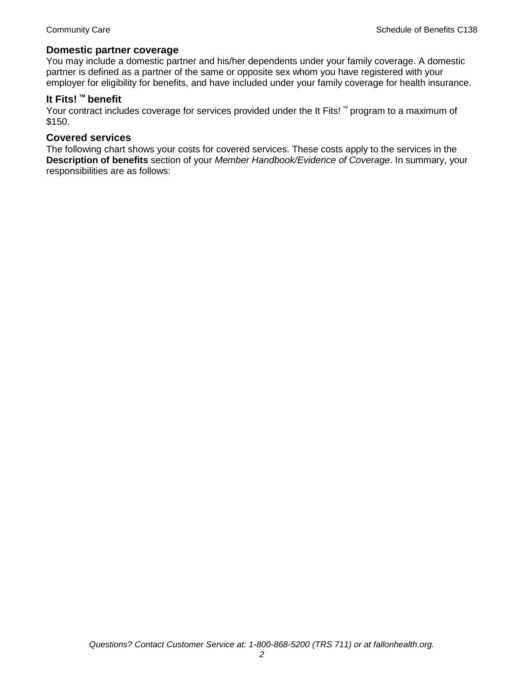#### **Domestic partner coverage**

You may include a domestic partner and his/her dependents under your family coverage. A domestic partner is defined as a partner of the same or opposite sex whom you have registered with your employer for eligibility for benefits, and have included under your family coverage for health insurance.

# **It Fits! ™ benefit**

Your contract includes coverage for services provided under the It Fits! ™ program to a maximum of \$150.

#### **Covered services**

The following chart shows your costs for covered services. These costs apply to the services in the **Description of benefits** section of your *Member Handbook/Evidence of Coverage*. In summary, your responsibilities are as follows: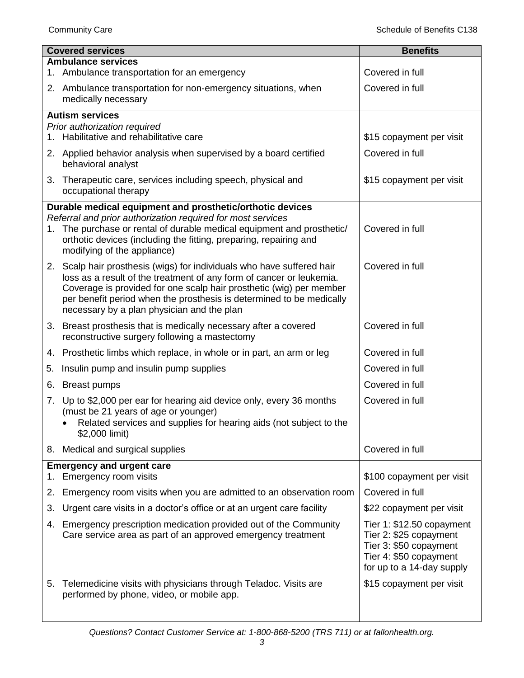| <b>Covered services</b> |                                                                                                                                                                                                                                                                                                                                             | <b>Benefits</b>                                                                                                                      |
|-------------------------|---------------------------------------------------------------------------------------------------------------------------------------------------------------------------------------------------------------------------------------------------------------------------------------------------------------------------------------------|--------------------------------------------------------------------------------------------------------------------------------------|
|                         | <b>Ambulance services</b><br>1. Ambulance transportation for an emergency                                                                                                                                                                                                                                                                   | Covered in full                                                                                                                      |
|                         | 2. Ambulance transportation for non-emergency situations, when<br>medically necessary                                                                                                                                                                                                                                                       | Covered in full                                                                                                                      |
|                         | <b>Autism services</b>                                                                                                                                                                                                                                                                                                                      |                                                                                                                                      |
|                         | Prior authorization required<br>1. Habilitative and rehabilitative care                                                                                                                                                                                                                                                                     | \$15 copayment per visit                                                                                                             |
|                         | 2. Applied behavior analysis when supervised by a board certified<br>behavioral analyst                                                                                                                                                                                                                                                     | Covered in full                                                                                                                      |
|                         | 3. Therapeutic care, services including speech, physical and<br>occupational therapy                                                                                                                                                                                                                                                        | \$15 copayment per visit                                                                                                             |
|                         | Durable medical equipment and prosthetic/orthotic devices                                                                                                                                                                                                                                                                                   |                                                                                                                                      |
|                         | Referral and prior authorization required for most services<br>1. The purchase or rental of durable medical equipment and prosthetic/<br>orthotic devices (including the fitting, preparing, repairing and<br>modifying of the appliance)                                                                                                   | Covered in full                                                                                                                      |
|                         | 2. Scalp hair prosthesis (wigs) for individuals who have suffered hair<br>loss as a result of the treatment of any form of cancer or leukemia.<br>Coverage is provided for one scalp hair prosthetic (wig) per member<br>per benefit period when the prosthesis is determined to be medically<br>necessary by a plan physician and the plan | Covered in full                                                                                                                      |
|                         | 3. Breast prosthesis that is medically necessary after a covered<br>reconstructive surgery following a mastectomy                                                                                                                                                                                                                           | Covered in full                                                                                                                      |
|                         | 4. Prosthetic limbs which replace, in whole or in part, an arm or leg                                                                                                                                                                                                                                                                       | Covered in full                                                                                                                      |
| 5.                      | Insulin pump and insulin pump supplies                                                                                                                                                                                                                                                                                                      | Covered in full                                                                                                                      |
| 6.                      | <b>Breast pumps</b>                                                                                                                                                                                                                                                                                                                         | Covered in full                                                                                                                      |
|                         | 7. Up to \$2,000 per ear for hearing aid device only, every 36 months<br>(must be 21 years of age or younger)<br>Related services and supplies for hearing aids (not subject to the<br>\$2,000 limit)                                                                                                                                       | Covered in full                                                                                                                      |
|                         | 8. Medical and surgical supplies                                                                                                                                                                                                                                                                                                            | Covered in full                                                                                                                      |
|                         | <b>Emergency and urgent care</b>                                                                                                                                                                                                                                                                                                            |                                                                                                                                      |
| 1.                      | Emergency room visits                                                                                                                                                                                                                                                                                                                       | \$100 copayment per visit<br>Covered in full                                                                                         |
| 2.                      | Emergency room visits when you are admitted to an observation room                                                                                                                                                                                                                                                                          |                                                                                                                                      |
| 3.                      | Urgent care visits in a doctor's office or at an urgent care facility                                                                                                                                                                                                                                                                       | \$22 copayment per visit                                                                                                             |
| 4.                      | Emergency prescription medication provided out of the Community<br>Care service area as part of an approved emergency treatment                                                                                                                                                                                                             | Tier 1: \$12.50 copayment<br>Tier 2: \$25 copayment<br>Tier 3: \$50 copayment<br>Tier 4: \$50 copayment<br>for up to a 14-day supply |
| 5.                      | Telemedicine visits with physicians through Teladoc. Visits are<br>performed by phone, video, or mobile app.                                                                                                                                                                                                                                | \$15 copayment per visit                                                                                                             |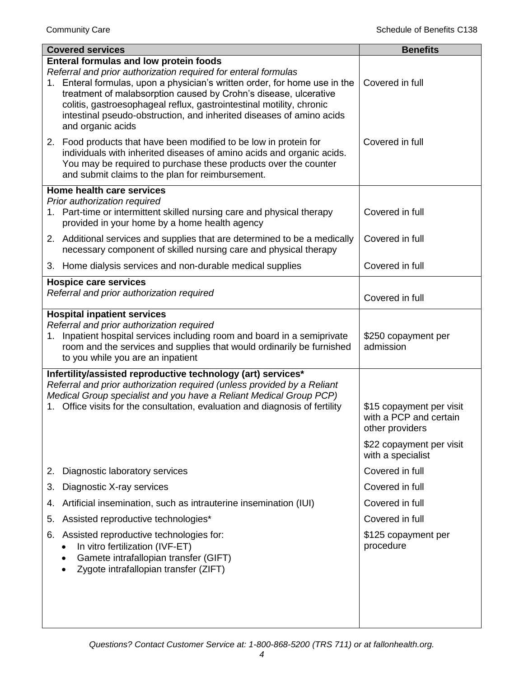| <b>Covered services</b>                                                                                                                                                                                                                                                                                                                                                                                                                | <b>Benefits</b>                                                       |
|----------------------------------------------------------------------------------------------------------------------------------------------------------------------------------------------------------------------------------------------------------------------------------------------------------------------------------------------------------------------------------------------------------------------------------------|-----------------------------------------------------------------------|
| <b>Enteral formulas and low protein foods</b><br>Referral and prior authorization required for enteral formulas<br>1. Enteral formulas, upon a physician's written order, for home use in the<br>treatment of malabsorption caused by Crohn's disease, ulcerative<br>colitis, gastroesophageal reflux, gastrointestinal motility, chronic<br>intestinal pseudo-obstruction, and inherited diseases of amino acids<br>and organic acids | Covered in full                                                       |
| 2. Food products that have been modified to be low in protein for<br>individuals with inherited diseases of amino acids and organic acids.<br>You may be required to purchase these products over the counter<br>and submit claims to the plan for reimbursement.                                                                                                                                                                      | Covered in full                                                       |
| Home health care services                                                                                                                                                                                                                                                                                                                                                                                                              |                                                                       |
| Prior authorization required<br>1. Part-time or intermittent skilled nursing care and physical therapy<br>provided in your home by a home health agency                                                                                                                                                                                                                                                                                | Covered in full                                                       |
| 2. Additional services and supplies that are determined to be a medically<br>necessary component of skilled nursing care and physical therapy                                                                                                                                                                                                                                                                                          | Covered in full                                                       |
| 3. Home dialysis services and non-durable medical supplies                                                                                                                                                                                                                                                                                                                                                                             | Covered in full                                                       |
| <b>Hospice care services</b>                                                                                                                                                                                                                                                                                                                                                                                                           |                                                                       |
| Referral and prior authorization required                                                                                                                                                                                                                                                                                                                                                                                              | Covered in full                                                       |
| <b>Hospital inpatient services</b>                                                                                                                                                                                                                                                                                                                                                                                                     |                                                                       |
| Referral and prior authorization required<br>Inpatient hospital services including room and board in a semiprivate<br>1.<br>room and the services and supplies that would ordinarily be furnished<br>to you while you are an inpatient                                                                                                                                                                                                 | \$250 copayment per<br>admission                                      |
| Infertility/assisted reproductive technology (art) services*<br>Referral and prior authorization required (unless provided by a Reliant<br>Medical Group specialist and you have a Reliant Medical Group PCP)                                                                                                                                                                                                                          |                                                                       |
| 1. Office visits for the consultation, evaluation and diagnosis of fertility                                                                                                                                                                                                                                                                                                                                                           | \$15 copayment per visit<br>with a PCP and certain<br>other providers |
|                                                                                                                                                                                                                                                                                                                                                                                                                                        | \$22 copayment per visit<br>with a specialist                         |
| Diagnostic laboratory services<br>2.                                                                                                                                                                                                                                                                                                                                                                                                   | Covered in full                                                       |
| Diagnostic X-ray services<br>3.                                                                                                                                                                                                                                                                                                                                                                                                        | Covered in full                                                       |
| Artificial insemination, such as intrauterine insemination (IUI)<br>4.                                                                                                                                                                                                                                                                                                                                                                 | Covered in full                                                       |
| Assisted reproductive technologies*<br>5.                                                                                                                                                                                                                                                                                                                                                                                              | Covered in full                                                       |
| Assisted reproductive technologies for:<br>6.<br>In vitro fertilization (IVF-ET)<br>Gamete intrafallopian transfer (GIFT)<br>Zygote intrafallopian transfer (ZIFT)                                                                                                                                                                                                                                                                     | \$125 copayment per<br>procedure                                      |
|                                                                                                                                                                                                                                                                                                                                                                                                                                        |                                                                       |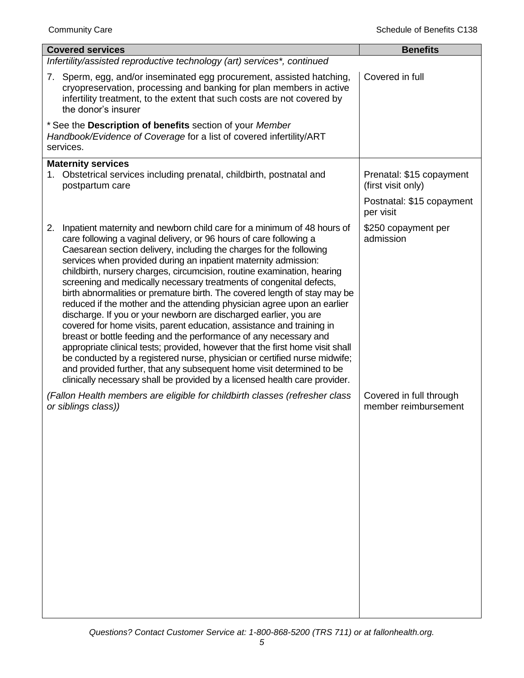| <b>Covered services</b>                                                                                                                                                                                                                                                                                                                                                                                                                                                                                                                                                                                                                                                                                                                                                                                                                                                                                                                                                                                                                                                                                                                         | <b>Benefits</b>                                 |
|-------------------------------------------------------------------------------------------------------------------------------------------------------------------------------------------------------------------------------------------------------------------------------------------------------------------------------------------------------------------------------------------------------------------------------------------------------------------------------------------------------------------------------------------------------------------------------------------------------------------------------------------------------------------------------------------------------------------------------------------------------------------------------------------------------------------------------------------------------------------------------------------------------------------------------------------------------------------------------------------------------------------------------------------------------------------------------------------------------------------------------------------------|-------------------------------------------------|
| Infertility/assisted reproductive technology (art) services*, continued                                                                                                                                                                                                                                                                                                                                                                                                                                                                                                                                                                                                                                                                                                                                                                                                                                                                                                                                                                                                                                                                         |                                                 |
| 7. Sperm, egg, and/or inseminated egg procurement, assisted hatching,<br>cryopreservation, processing and banking for plan members in active<br>infertility treatment, to the extent that such costs are not covered by<br>the donor's insurer                                                                                                                                                                                                                                                                                                                                                                                                                                                                                                                                                                                                                                                                                                                                                                                                                                                                                                  | Covered in full                                 |
| * See the Description of benefits section of your Member<br>Handbook/Evidence of Coverage for a list of covered infertility/ART<br>services.                                                                                                                                                                                                                                                                                                                                                                                                                                                                                                                                                                                                                                                                                                                                                                                                                                                                                                                                                                                                    |                                                 |
| <b>Maternity services</b><br>1. Obstetrical services including prenatal, childbirth, postnatal and<br>postpartum care                                                                                                                                                                                                                                                                                                                                                                                                                                                                                                                                                                                                                                                                                                                                                                                                                                                                                                                                                                                                                           | Prenatal: \$15 copayment<br>(first visit only)  |
|                                                                                                                                                                                                                                                                                                                                                                                                                                                                                                                                                                                                                                                                                                                                                                                                                                                                                                                                                                                                                                                                                                                                                 | Postnatal: \$15 copayment<br>per visit          |
| Inpatient maternity and newborn child care for a minimum of 48 hours of<br>2.<br>care following a vaginal delivery, or 96 hours of care following a<br>Caesarean section delivery, including the charges for the following<br>services when provided during an inpatient maternity admission:<br>childbirth, nursery charges, circumcision, routine examination, hearing<br>screening and medically necessary treatments of congenital defects,<br>birth abnormalities or premature birth. The covered length of stay may be<br>reduced if the mother and the attending physician agree upon an earlier<br>discharge. If you or your newborn are discharged earlier, you are<br>covered for home visits, parent education, assistance and training in<br>breast or bottle feeding and the performance of any necessary and<br>appropriate clinical tests; provided, however that the first home visit shall<br>be conducted by a registered nurse, physician or certified nurse midwife;<br>and provided further, that any subsequent home visit determined to be<br>clinically necessary shall be provided by a licensed health care provider. | \$250 copayment per<br>admission                |
| (Fallon Health members are eligible for childbirth classes (refresher class<br>or siblings class))                                                                                                                                                                                                                                                                                                                                                                                                                                                                                                                                                                                                                                                                                                                                                                                                                                                                                                                                                                                                                                              | Covered in full through<br>member reimbursement |
|                                                                                                                                                                                                                                                                                                                                                                                                                                                                                                                                                                                                                                                                                                                                                                                                                                                                                                                                                                                                                                                                                                                                                 |                                                 |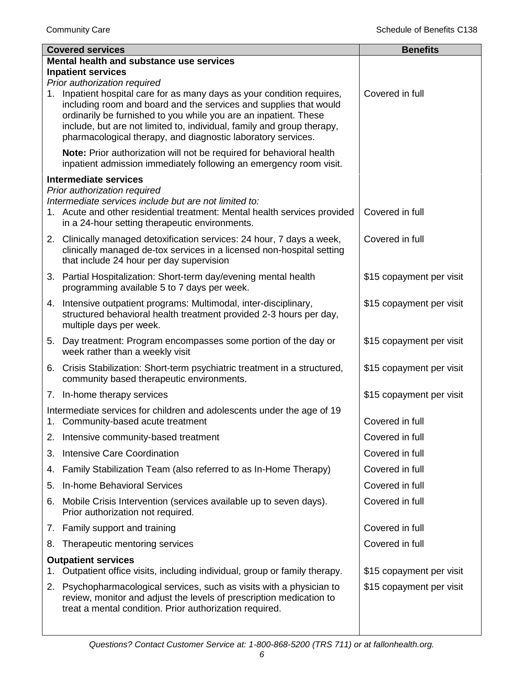| <b>Covered services</b>   |                                                                                                                                                                                                                                                                                                                                                                                         | <b>Benefits</b>          |  |
|---------------------------|-----------------------------------------------------------------------------------------------------------------------------------------------------------------------------------------------------------------------------------------------------------------------------------------------------------------------------------------------------------------------------------------|--------------------------|--|
|                           | Mental health and substance use services                                                                                                                                                                                                                                                                                                                                                |                          |  |
| <b>Inpatient services</b> |                                                                                                                                                                                                                                                                                                                                                                                         |                          |  |
| 1.                        | Prior authorization required<br>Inpatient hospital care for as many days as your condition requires,<br>including room and board and the services and supplies that would<br>ordinarily be furnished to you while you are an inpatient. These<br>include, but are not limited to, individual, family and group therapy,<br>pharmacological therapy, and diagnostic laboratory services. | Covered in full          |  |
|                           | Note: Prior authorization will not be required for behavioral health<br>inpatient admission immediately following an emergency room visit.                                                                                                                                                                                                                                              |                          |  |
|                           | <b>Intermediate services</b>                                                                                                                                                                                                                                                                                                                                                            |                          |  |
|                           | Prior authorization required<br>Intermediate services include but are not limited to:<br>1. Acute and other residential treatment: Mental health services provided<br>in a 24-hour setting therapeutic environments.                                                                                                                                                                    | Covered in full          |  |
|                           | 2. Clinically managed detoxification services: 24 hour, 7 days a week,<br>clinically managed de-tox services in a licensed non-hospital setting<br>that include 24 hour per day supervision                                                                                                                                                                                             | Covered in full          |  |
|                           | 3. Partial Hospitalization: Short-term day/evening mental health<br>programming available 5 to 7 days per week.                                                                                                                                                                                                                                                                         | \$15 copayment per visit |  |
|                           | 4. Intensive outpatient programs: Multimodal, inter-disciplinary,<br>structured behavioral health treatment provided 2-3 hours per day,<br>multiple days per week.                                                                                                                                                                                                                      | \$15 copayment per visit |  |
|                           | 5. Day treatment: Program encompasses some portion of the day or<br>week rather than a weekly visit                                                                                                                                                                                                                                                                                     | \$15 copayment per visit |  |
|                           | 6. Crisis Stabilization: Short-term psychiatric treatment in a structured,<br>community based therapeutic environments.                                                                                                                                                                                                                                                                 | \$15 copayment per visit |  |
|                           | 7. In-home therapy services                                                                                                                                                                                                                                                                                                                                                             | \$15 copayment per visit |  |
|                           | Intermediate services for children and adolescents under the age of 19<br>1. Community-based acute treatment                                                                                                                                                                                                                                                                            | Covered in full          |  |
|                           | 2. Intensive community-based treatment                                                                                                                                                                                                                                                                                                                                                  | Covered in full          |  |
| 3.                        | <b>Intensive Care Coordination</b>                                                                                                                                                                                                                                                                                                                                                      | Covered in full          |  |
| 4.                        | Family Stabilization Team (also referred to as In-Home Therapy)                                                                                                                                                                                                                                                                                                                         | Covered in full          |  |
| 5.                        | In-home Behavioral Services                                                                                                                                                                                                                                                                                                                                                             | Covered in full          |  |
| 6.                        | Mobile Crisis Intervention (services available up to seven days).<br>Prior authorization not required.                                                                                                                                                                                                                                                                                  | Covered in full          |  |
|                           | 7. Family support and training                                                                                                                                                                                                                                                                                                                                                          | Covered in full          |  |
| 8.                        | Therapeutic mentoring services                                                                                                                                                                                                                                                                                                                                                          | Covered in full          |  |
| 1.                        | <b>Outpatient services</b><br>Outpatient office visits, including individual, group or family therapy.                                                                                                                                                                                                                                                                                  | \$15 copayment per visit |  |
| 2.                        | Psychopharmacological services, such as visits with a physician to                                                                                                                                                                                                                                                                                                                      | \$15 copayment per visit |  |
|                           | review, monitor and adjust the levels of prescription medication to<br>treat a mental condition. Prior authorization required.                                                                                                                                                                                                                                                          |                          |  |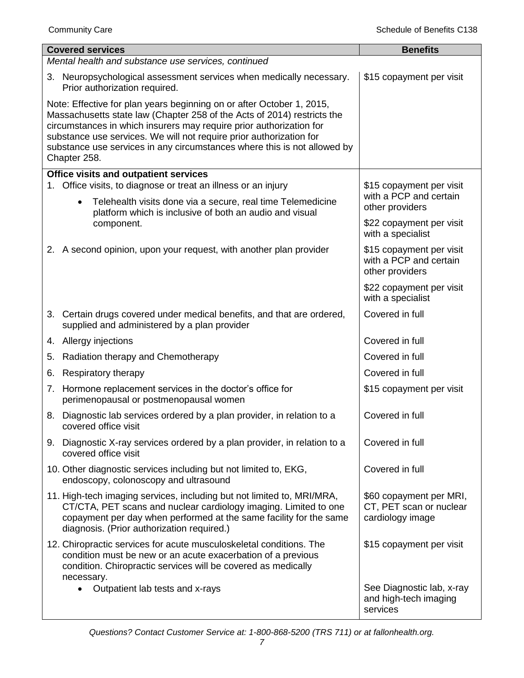|    | <b>Covered services</b>                                                                                                                                                                                                                                                                                                                                                                    | <b>Benefits</b>                                                        |  |  |
|----|--------------------------------------------------------------------------------------------------------------------------------------------------------------------------------------------------------------------------------------------------------------------------------------------------------------------------------------------------------------------------------------------|------------------------------------------------------------------------|--|--|
|    | Mental health and substance use services, continued                                                                                                                                                                                                                                                                                                                                        |                                                                        |  |  |
|    | 3. Neuropsychological assessment services when medically necessary.<br>Prior authorization required.                                                                                                                                                                                                                                                                                       | \$15 copayment per visit                                               |  |  |
|    | Note: Effective for plan years beginning on or after October 1, 2015,<br>Massachusetts state law (Chapter 258 of the Acts of 2014) restricts the<br>circumstances in which insurers may require prior authorization for<br>substance use services. We will not require prior authorization for<br>substance use services in any circumstances where this is not allowed by<br>Chapter 258. |                                                                        |  |  |
|    | Office visits and outpatient services                                                                                                                                                                                                                                                                                                                                                      |                                                                        |  |  |
|    | 1. Office visits, to diagnose or treat an illness or an injury<br>Telehealth visits done via a secure, real time Telemedicine<br>$\bullet$<br>platform which is inclusive of both an audio and visual                                                                                                                                                                                      | \$15 copayment per visit<br>with a PCP and certain<br>other providers  |  |  |
|    | component.                                                                                                                                                                                                                                                                                                                                                                                 | \$22 copayment per visit<br>with a specialist                          |  |  |
|    | 2. A second opinion, upon your request, with another plan provider                                                                                                                                                                                                                                                                                                                         | \$15 copayment per visit<br>with a PCP and certain<br>other providers  |  |  |
|    |                                                                                                                                                                                                                                                                                                                                                                                            | \$22 copayment per visit<br>with a specialist                          |  |  |
|    | 3. Certain drugs covered under medical benefits, and that are ordered,<br>supplied and administered by a plan provider                                                                                                                                                                                                                                                                     | Covered in full                                                        |  |  |
|    | 4. Allergy injections                                                                                                                                                                                                                                                                                                                                                                      | Covered in full                                                        |  |  |
| 5. | Radiation therapy and Chemotherapy                                                                                                                                                                                                                                                                                                                                                         | Covered in full                                                        |  |  |
| 6. | Respiratory therapy                                                                                                                                                                                                                                                                                                                                                                        | Covered in full                                                        |  |  |
|    | 7. Hormone replacement services in the doctor's office for<br>perimenopausal or postmenopausal women                                                                                                                                                                                                                                                                                       | \$15 copayment per visit                                               |  |  |
|    | 8. Diagnostic lab services ordered by a plan provider, in relation to a<br>covered office visit                                                                                                                                                                                                                                                                                            | Covered in full                                                        |  |  |
|    | 9. Diagnostic X-ray services ordered by a plan provider, in relation to a<br>covered office visit                                                                                                                                                                                                                                                                                          | Covered in full                                                        |  |  |
|    | 10. Other diagnostic services including but not limited to, EKG,<br>endoscopy, colonoscopy and ultrasound                                                                                                                                                                                                                                                                                  | Covered in full                                                        |  |  |
|    | 11. High-tech imaging services, including but not limited to, MRI/MRA,<br>CT/CTA, PET scans and nuclear cardiology imaging. Limited to one<br>copayment per day when performed at the same facility for the same<br>diagnosis. (Prior authorization required.)                                                                                                                             | \$60 copayment per MRI,<br>CT, PET scan or nuclear<br>cardiology image |  |  |
|    | 12. Chiropractic services for acute musculoskeletal conditions. The<br>condition must be new or an acute exacerbation of a previous<br>condition. Chiropractic services will be covered as medically<br>necessary.                                                                                                                                                                         | \$15 copayment per visit                                               |  |  |
|    | Outpatient lab tests and x-rays<br>$\bullet$                                                                                                                                                                                                                                                                                                                                               | See Diagnostic lab, x-ray<br>and high-tech imaging<br>services         |  |  |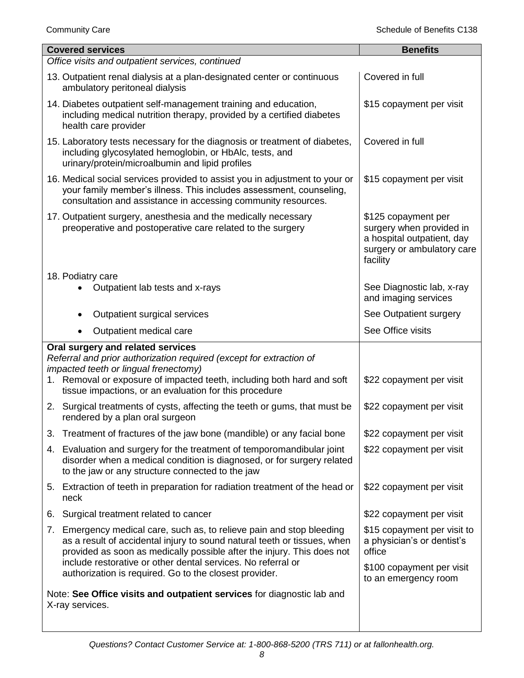| <b>Covered services</b>                                                                                                                                                                                                                                                                     | <b>Benefits</b>                                                                                                         |
|---------------------------------------------------------------------------------------------------------------------------------------------------------------------------------------------------------------------------------------------------------------------------------------------|-------------------------------------------------------------------------------------------------------------------------|
| Office visits and outpatient services, continued                                                                                                                                                                                                                                            |                                                                                                                         |
| 13. Outpatient renal dialysis at a plan-designated center or continuous<br>ambulatory peritoneal dialysis                                                                                                                                                                                   | Covered in full                                                                                                         |
| 14. Diabetes outpatient self-management training and education,<br>including medical nutrition therapy, provided by a certified diabetes<br>health care provider                                                                                                                            | \$15 copayment per visit                                                                                                |
| 15. Laboratory tests necessary for the diagnosis or treatment of diabetes,<br>including glycosylated hemoglobin, or HbAlc, tests, and<br>urinary/protein/microalbumin and lipid profiles                                                                                                    | Covered in full                                                                                                         |
| 16. Medical social services provided to assist you in adjustment to your or<br>your family member's illness. This includes assessment, counseling,<br>consultation and assistance in accessing community resources.                                                                         | \$15 copayment per visit                                                                                                |
| 17. Outpatient surgery, anesthesia and the medically necessary<br>preoperative and postoperative care related to the surgery                                                                                                                                                                | \$125 copayment per<br>surgery when provided in<br>a hospital outpatient, day<br>surgery or ambulatory care<br>facility |
| 18. Podiatry care<br>Outpatient lab tests and x-rays                                                                                                                                                                                                                                        | See Diagnostic lab, x-ray<br>and imaging services                                                                       |
| Outpatient surgical services                                                                                                                                                                                                                                                                | See Outpatient surgery                                                                                                  |
| Outpatient medical care                                                                                                                                                                                                                                                                     | See Office visits                                                                                                       |
| Oral surgery and related services<br>Referral and prior authorization required (except for extraction of<br>impacted teeth or lingual frenectomy)<br>1. Removal or exposure of impacted teeth, including both hard and soft<br>tissue impactions, or an evaluation for this procedure       | \$22 copayment per visit                                                                                                |
| 2. Surgical treatments of cysts, affecting the teeth or gums, that must be<br>rendered by a plan oral surgeon                                                                                                                                                                               | \$22 copayment per visit                                                                                                |
| 3. Treatment of fractures of the jaw bone (mandible) or any facial bone                                                                                                                                                                                                                     | \$22 copayment per visit                                                                                                |
| 4. Evaluation and surgery for the treatment of temporomandibular joint<br>disorder when a medical condition is diagnosed, or for surgery related<br>to the jaw or any structure connected to the jaw                                                                                        | \$22 copayment per visit                                                                                                |
| 5. Extraction of teeth in preparation for radiation treatment of the head or<br>neck                                                                                                                                                                                                        | \$22 copayment per visit                                                                                                |
| Surgical treatment related to cancer<br>6.                                                                                                                                                                                                                                                  | \$22 copayment per visit                                                                                                |
| 7. Emergency medical care, such as, to relieve pain and stop bleeding<br>as a result of accidental injury to sound natural teeth or tissues, when<br>provided as soon as medically possible after the injury. This does not<br>include restorative or other dental services. No referral or | \$15 copayment per visit to<br>a physician's or dentist's<br>office                                                     |
| authorization is required. Go to the closest provider.                                                                                                                                                                                                                                      | \$100 copayment per visit<br>to an emergency room                                                                       |
| Note: See Office visits and outpatient services for diagnostic lab and<br>X-ray services.                                                                                                                                                                                                   |                                                                                                                         |
|                                                                                                                                                                                                                                                                                             |                                                                                                                         |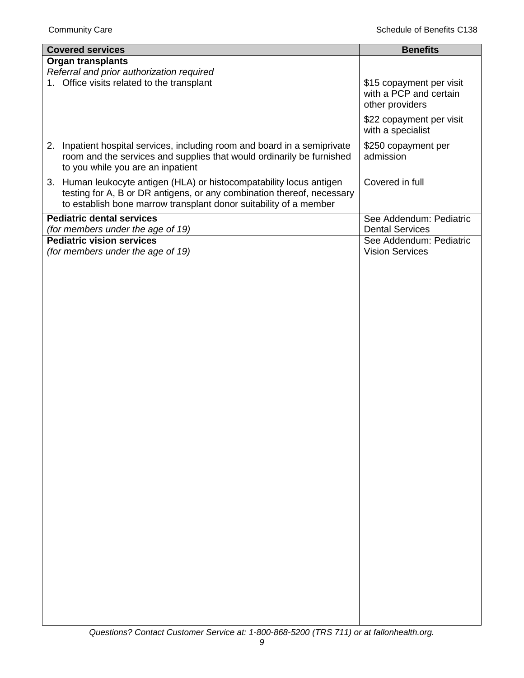| <b>Covered services</b>                                                      | <b>Benefits</b>                               |
|------------------------------------------------------------------------------|-----------------------------------------------|
| <b>Organ transplants</b>                                                     |                                               |
| Referral and prior authorization required                                    |                                               |
| 1. Office visits related to the transplant                                   | \$15 copayment per visit                      |
|                                                                              | with a PCP and certain                        |
|                                                                              | other providers                               |
|                                                                              | \$22 copayment per visit<br>with a specialist |
| Inpatient hospital services, including room and board in a semiprivate<br>2. | \$250 copayment per                           |
| room and the services and supplies that would ordinarily be furnished        | admission                                     |
| to you while you are an inpatient                                            |                                               |
| 3. Human leukocyte antigen (HLA) or histocompatability locus antigen         | Covered in full                               |
| testing for A, B or DR antigens, or any combination thereof, necessary       |                                               |
| to establish bone marrow transplant donor suitability of a member            |                                               |
| <b>Pediatric dental services</b>                                             | See Addendum: Pediatric                       |
| (for members under the age of 19)                                            | <b>Dental Services</b>                        |
| <b>Pediatric vision services</b>                                             | See Addendum: Pediatric                       |
| (for members under the age of 19)                                            | <b>Vision Services</b>                        |
|                                                                              |                                               |
|                                                                              |                                               |
|                                                                              |                                               |
|                                                                              |                                               |
|                                                                              |                                               |
|                                                                              |                                               |
|                                                                              |                                               |
|                                                                              |                                               |
|                                                                              |                                               |
|                                                                              |                                               |
|                                                                              |                                               |
|                                                                              |                                               |
|                                                                              |                                               |
|                                                                              |                                               |
|                                                                              |                                               |
|                                                                              |                                               |
|                                                                              |                                               |
|                                                                              |                                               |
|                                                                              |                                               |
|                                                                              |                                               |
|                                                                              |                                               |
|                                                                              |                                               |
|                                                                              |                                               |
|                                                                              |                                               |
|                                                                              |                                               |
|                                                                              |                                               |
|                                                                              |                                               |
|                                                                              |                                               |
|                                                                              |                                               |
|                                                                              |                                               |
|                                                                              |                                               |
|                                                                              |                                               |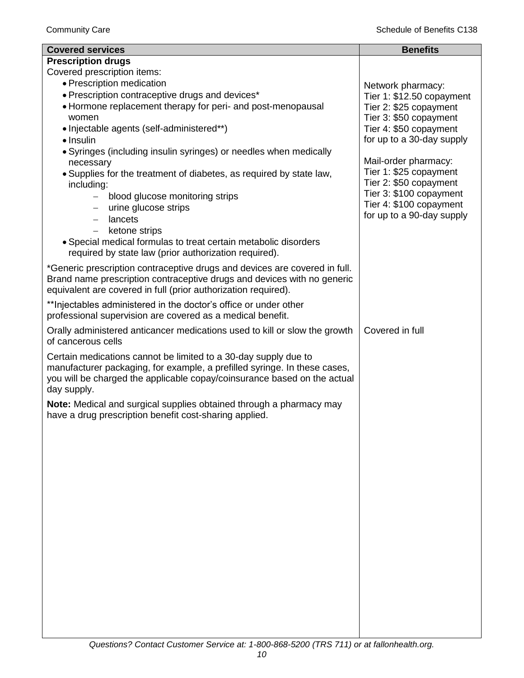| <b>Covered services</b>                                                                                                                      | <b>Benefits</b>                                      |
|----------------------------------------------------------------------------------------------------------------------------------------------|------------------------------------------------------|
| <b>Prescription drugs</b>                                                                                                                    |                                                      |
| Covered prescription items:                                                                                                                  |                                                      |
| • Prescription medication                                                                                                                    | Network pharmacy:                                    |
| • Prescription contraceptive drugs and devices*                                                                                              | Tier 1: \$12.50 copayment                            |
| • Hormone replacement therapy for peri- and post-menopausal                                                                                  | Tier 2: \$25 copayment                               |
| women                                                                                                                                        | Tier 3: \$50 copayment                               |
| • Injectable agents (self-administered**)                                                                                                    | Tier 4: \$50 copayment                               |
| · Insulin                                                                                                                                    | for up to a 30-day supply                            |
| • Syringes (including insulin syringes) or needles when medically                                                                            |                                                      |
| necessary                                                                                                                                    | Mail-order pharmacy:                                 |
| • Supplies for the treatment of diabetes, as required by state law,                                                                          | Tier 1: \$25 copayment                               |
| including:                                                                                                                                   | Tier 2: \$50 copayment                               |
| blood glucose monitoring strips                                                                                                              | Tier 3: \$100 copayment                              |
| urine glucose strips                                                                                                                         | Tier 4: \$100 copayment<br>for up to a 90-day supply |
| lancets<br>$-$                                                                                                                               |                                                      |
| ketone strips                                                                                                                                |                                                      |
| • Special medical formulas to treat certain metabolic disorders                                                                              |                                                      |
| required by state law (prior authorization required).                                                                                        |                                                      |
| *Generic prescription contraceptive drugs and devices are covered in full.                                                                   |                                                      |
| Brand name prescription contraceptive drugs and devices with no generic                                                                      |                                                      |
| equivalent are covered in full (prior authorization required).                                                                               |                                                      |
| ** Injectables administered in the doctor's office or under other                                                                            |                                                      |
| professional supervision are covered as a medical benefit.                                                                                   |                                                      |
| Orally administered anticancer medications used to kill or slow the growth                                                                   | Covered in full                                      |
| of cancerous cells                                                                                                                           |                                                      |
|                                                                                                                                              |                                                      |
| Certain medications cannot be limited to a 30-day supply due to<br>manufacturer packaging, for example, a prefilled syringe. In these cases, |                                                      |
| you will be charged the applicable copay/coinsurance based on the actual                                                                     |                                                      |
| day supply.                                                                                                                                  |                                                      |
|                                                                                                                                              |                                                      |
| Note: Medical and surgical supplies obtained through a pharmacy may<br>have a drug prescription benefit cost-sharing applied.                |                                                      |
|                                                                                                                                              |                                                      |
|                                                                                                                                              |                                                      |
|                                                                                                                                              |                                                      |
|                                                                                                                                              |                                                      |
|                                                                                                                                              |                                                      |
|                                                                                                                                              |                                                      |
|                                                                                                                                              |                                                      |
|                                                                                                                                              |                                                      |
|                                                                                                                                              |                                                      |
|                                                                                                                                              |                                                      |
|                                                                                                                                              |                                                      |
|                                                                                                                                              |                                                      |
|                                                                                                                                              |                                                      |
|                                                                                                                                              |                                                      |
|                                                                                                                                              |                                                      |
|                                                                                                                                              |                                                      |
|                                                                                                                                              |                                                      |
|                                                                                                                                              |                                                      |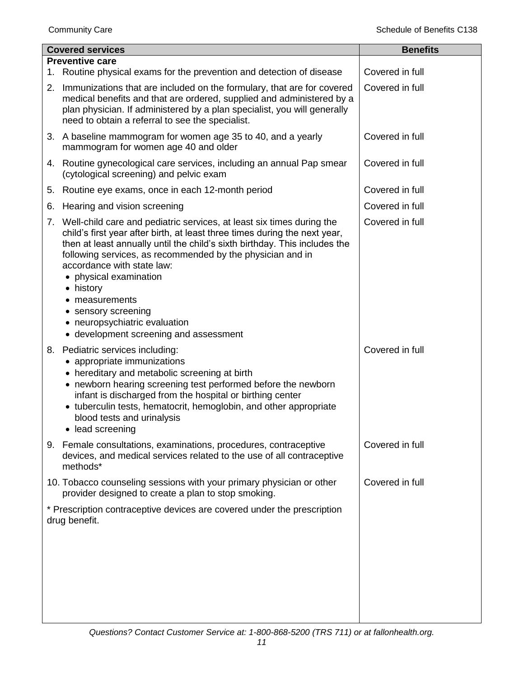| <b>Covered services</b> |                                                                                                                                                                                                                                                                                                                                                                                                                                                                                          | <b>Benefits</b> |
|-------------------------|------------------------------------------------------------------------------------------------------------------------------------------------------------------------------------------------------------------------------------------------------------------------------------------------------------------------------------------------------------------------------------------------------------------------------------------------------------------------------------------|-----------------|
| 1.                      | <b>Preventive care</b><br>Routine physical exams for the prevention and detection of disease                                                                                                                                                                                                                                                                                                                                                                                             | Covered in full |
| 2.                      | Immunizations that are included on the formulary, that are for covered<br>medical benefits and that are ordered, supplied and administered by a<br>plan physician. If administered by a plan specialist, you will generally<br>need to obtain a referral to see the specialist.                                                                                                                                                                                                          | Covered in full |
|                         | 3. A baseline mammogram for women age 35 to 40, and a yearly<br>mammogram for women age 40 and older                                                                                                                                                                                                                                                                                                                                                                                     | Covered in full |
|                         | 4. Routine gynecological care services, including an annual Pap smear<br>(cytological screening) and pelvic exam                                                                                                                                                                                                                                                                                                                                                                         | Covered in full |
|                         | 5. Routine eye exams, once in each 12-month period                                                                                                                                                                                                                                                                                                                                                                                                                                       | Covered in full |
| 6.                      | Hearing and vision screening                                                                                                                                                                                                                                                                                                                                                                                                                                                             | Covered in full |
| 7.                      | Well-child care and pediatric services, at least six times during the<br>child's first year after birth, at least three times during the next year,<br>then at least annually until the child's sixth birthday. This includes the<br>following services, as recommended by the physician and in<br>accordance with state law:<br>• physical examination<br>• history<br>• measurements<br>• sensory screening<br>• neuropsychiatric evaluation<br>• development screening and assessment | Covered in full |
| 8.                      | Pediatric services including:<br>• appropriate immunizations<br>• hereditary and metabolic screening at birth<br>• newborn hearing screening test performed before the newborn<br>infant is discharged from the hospital or birthing center<br>• tuberculin tests, hematocrit, hemoglobin, and other appropriate<br>blood tests and urinalysis<br>• lead screening                                                                                                                       | Covered in full |
|                         | 9. Female consultations, examinations, procedures, contraceptive<br>devices, and medical services related to the use of all contraceptive<br>methods*                                                                                                                                                                                                                                                                                                                                    | Covered in full |
|                         | 10. Tobacco counseling sessions with your primary physician or other<br>provider designed to create a plan to stop smoking.                                                                                                                                                                                                                                                                                                                                                              | Covered in full |
|                         | * Prescription contraceptive devices are covered under the prescription<br>drug benefit.                                                                                                                                                                                                                                                                                                                                                                                                 |                 |
|                         |                                                                                                                                                                                                                                                                                                                                                                                                                                                                                          |                 |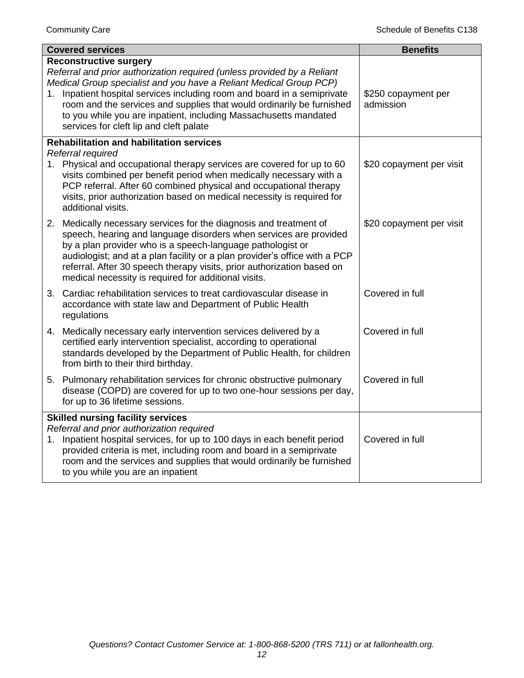| <b>Covered services</b>                                                                                                    | <b>Benefits</b>                                                                                                                                                                                                                                                                                                                                                        |                                  |
|----------------------------------------------------------------------------------------------------------------------------|------------------------------------------------------------------------------------------------------------------------------------------------------------------------------------------------------------------------------------------------------------------------------------------------------------------------------------------------------------------------|----------------------------------|
| <b>Reconstructive surgery</b><br>services for cleft lip and cleft palate                                                   | Referral and prior authorization required (unless provided by a Reliant<br>Medical Group specialist and you have a Reliant Medical Group PCP)<br>1. Inpatient hospital services including room and board in a semiprivate<br>room and the services and supplies that would ordinarily be furnished<br>to you while you are inpatient, including Massachusetts mandated | \$250 copayment per<br>admission |
| <b>Rehabilitation and habilitation services</b>                                                                            |                                                                                                                                                                                                                                                                                                                                                                        |                                  |
| Referral required<br>additional visits.                                                                                    | 1. Physical and occupational therapy services are covered for up to 60<br>visits combined per benefit period when medically necessary with a<br>PCP referral. After 60 combined physical and occupational therapy<br>visits, prior authorization based on medical necessity is required for                                                                            | \$20 copayment per visit         |
| by a plan provider who is a speech-language pathologist or<br>medical necessity is required for additional visits.         | 2. Medically necessary services for the diagnosis and treatment of<br>speech, hearing and language disorders when services are provided<br>audiologist; and at a plan facility or a plan provider's office with a PCP<br>referral. After 30 speech therapy visits, prior authorization based on                                                                        | \$20 copayment per visit         |
| accordance with state law and Department of Public Health<br>regulations                                                   | 3. Cardiac rehabilitation services to treat cardiovascular disease in                                                                                                                                                                                                                                                                                                  | Covered in full                  |
| 4. Medically necessary early intervention services delivered by a<br>from birth to their third birthday.                   | certified early intervention specialist, according to operational<br>standards developed by the Department of Public Health, for children                                                                                                                                                                                                                              | Covered in full                  |
| for up to 36 lifetime sessions.                                                                                            | 5. Pulmonary rehabilitation services for chronic obstructive pulmonary<br>disease (COPD) are covered for up to two one-hour sessions per day,                                                                                                                                                                                                                          | Covered in full                  |
| <b>Skilled nursing facility services</b><br>Referral and prior authorization required<br>to you while you are an inpatient | 1. Inpatient hospital services, for up to 100 days in each benefit period<br>provided criteria is met, including room and board in a semiprivate<br>room and the services and supplies that would ordinarily be furnished                                                                                                                                              | Covered in full                  |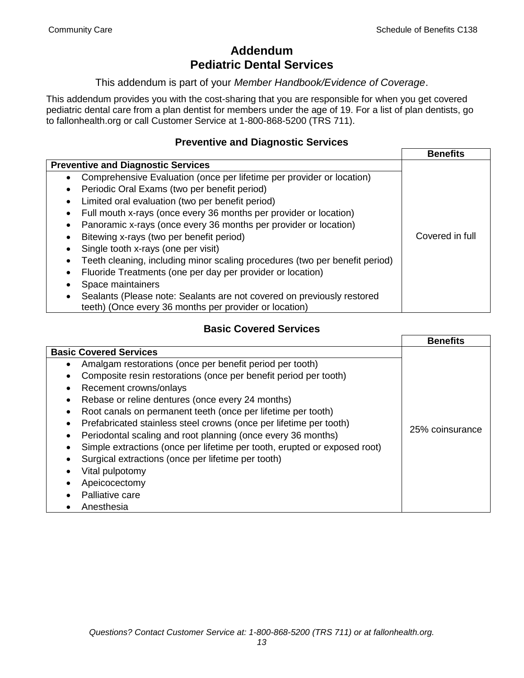# **Addendum Pediatric Dental Services**

This addendum is part of your *Member Handbook/Evidence of Coverage*.

This addendum provides you with the cost-sharing that you are responsible for when you get covered pediatric dental care from a plan dentist for members under the age of 19. For a list of plan dentists, go to fallonhealth.org or call Customer Service at 1-800-868-5200 (TRS 711).

#### **Preventive and Diagnostic Services**

|                                                                                                                                  | <b>Benefits</b> |
|----------------------------------------------------------------------------------------------------------------------------------|-----------------|
| <b>Preventive and Diagnostic Services</b>                                                                                        |                 |
| Comprehensive Evaluation (once per lifetime per provider or location)<br>$\bullet$                                               |                 |
| Periodic Oral Exams (two per benefit period)<br>٠                                                                                |                 |
| Limited oral evaluation (two per benefit period)<br>٠                                                                            |                 |
| Full mouth x-rays (once every 36 months per provider or location)                                                                |                 |
| Panoramic x-rays (once every 36 months per provider or location)                                                                 |                 |
| Bitewing x-rays (two per benefit period)                                                                                         | Covered in full |
| Single tooth x-rays (one per visit)                                                                                              |                 |
| Teeth cleaning, including minor scaling procedures (two per benefit period)                                                      |                 |
| Fluoride Treatments (one per day per provider or location)                                                                       |                 |
| Space maintainers                                                                                                                |                 |
| Sealants (Please note: Sealants are not covered on previously restored<br>teeth) (Once every 36 months per provider or location) |                 |

### **Basic Covered Services**

|                                                                           | <b>Benefits</b> |
|---------------------------------------------------------------------------|-----------------|
| <b>Basic Covered Services</b>                                             |                 |
| Amalgam restorations (once per benefit period per tooth)                  |                 |
| Composite resin restorations (once per benefit period per tooth)          |                 |
| Recement crowns/onlays                                                    |                 |
| Rebase or reline dentures (once every 24 months)                          |                 |
| Root canals on permanent teeth (once per lifetime per tooth)              |                 |
| Prefabricated stainless steel crowns (once per lifetime per tooth)        |                 |
| Periodontal scaling and root planning (once every 36 months)              | 25% coinsurance |
| Simple extractions (once per lifetime per tooth, erupted or exposed root) |                 |
| Surgical extractions (once per lifetime per tooth)                        |                 |
| Vital pulpotomy                                                           |                 |
| Apeicocectomy                                                             |                 |
| Palliative care                                                           |                 |
| Anesthesia                                                                |                 |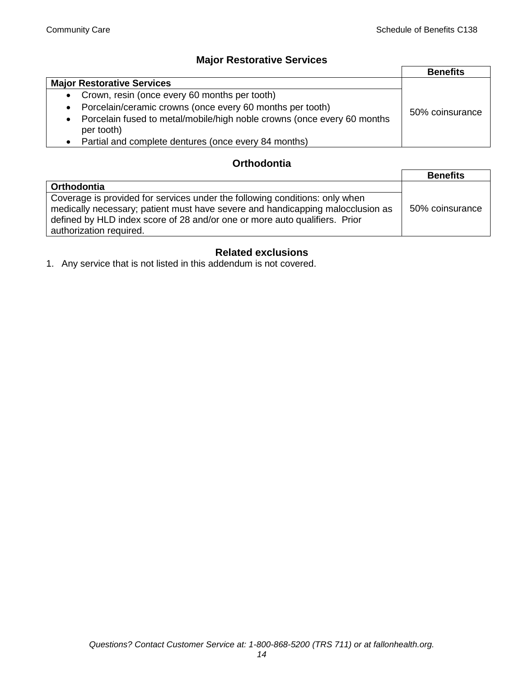### **Major Restorative Services**

|                                                                                                    | <b>Benefits</b> |
|----------------------------------------------------------------------------------------------------|-----------------|
| <b>Major Restorative Services</b>                                                                  |                 |
| Crown, resin (once every 60 months per tooth)<br>$\bullet$                                         |                 |
| Porcelain/ceramic crowns (once every 60 months per tooth)<br>$\bullet$                             | 50% coinsurance |
| Porcelain fused to metal/mobile/high noble crowns (once every 60 months<br>$\bullet$<br>per tooth) |                 |
| Partial and complete dentures (once every 84 months)                                               |                 |

#### **Orthodontia**

|                                                                                                                                                                                                                                                                        | <b>Benefits</b> |
|------------------------------------------------------------------------------------------------------------------------------------------------------------------------------------------------------------------------------------------------------------------------|-----------------|
| Orthodontia                                                                                                                                                                                                                                                            |                 |
| Coverage is provided for services under the following conditions: only when<br>medically necessary; patient must have severe and handicapping malocclusion as<br>defined by HLD index score of 28 and/or one or more auto qualifiers. Prior<br>authorization required. | 50% coinsurance |

### **Related exclusions**

1. Any service that is not listed in this addendum is not covered.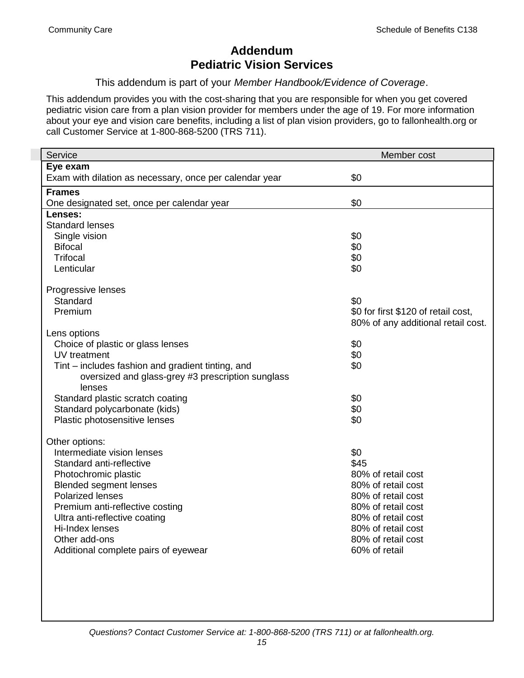# **Addendum Pediatric Vision Services**

This addendum is part of your *Member Handbook/Evidence of Coverage*.

This addendum provides you with the cost-sharing that you are responsible for when you get covered pediatric vision care from a plan vision provider for members under the age of 19. For more information about your eye and vision care benefits, including a list of plan vision providers, go to fallonhealth.org or call Customer Service at 1-800-868-5200 (TRS 711).

| Service                                                 | Member cost                         |
|---------------------------------------------------------|-------------------------------------|
| Eye exam                                                |                                     |
| Exam with dilation as necessary, once per calendar year | \$0                                 |
| <b>Frames</b>                                           |                                     |
| One designated set, once per calendar year              | \$0                                 |
| Lenses:                                                 |                                     |
| <b>Standard lenses</b>                                  |                                     |
| Single vision                                           | \$0                                 |
| <b>Bifocal</b>                                          | \$0                                 |
| <b>Trifocal</b>                                         | \$0                                 |
| Lenticular                                              | \$0                                 |
| Progressive lenses                                      |                                     |
| Standard                                                | \$0                                 |
| Premium                                                 | \$0 for first \$120 of retail cost, |
|                                                         | 80% of any additional retail cost.  |
| Lens options                                            |                                     |
| Choice of plastic or glass lenses                       | \$0                                 |
| UV treatment                                            | \$0                                 |
| Tint – includes fashion and gradient tinting, and       | \$0                                 |
| oversized and glass-grey #3 prescription sunglass       |                                     |
| lenses                                                  |                                     |
| Standard plastic scratch coating                        | \$0                                 |
| Standard polycarbonate (kids)                           | \$0                                 |
| Plastic photosensitive lenses                           | \$0                                 |
| Other options:                                          |                                     |
| Intermediate vision lenses                              | \$0                                 |
| Standard anti-reflective                                | \$45                                |
| Photochromic plastic                                    | 80% of retail cost                  |
| <b>Blended segment lenses</b>                           | 80% of retail cost                  |
| <b>Polarized lenses</b>                                 | 80% of retail cost                  |
| Premium anti-reflective costing                         | 80% of retail cost                  |
| Ultra anti-reflective coating                           | 80% of retail cost                  |
| Hi-Index lenses                                         | 80% of retail cost                  |
| Other add-ons                                           | 80% of retail cost                  |
| Additional complete pairs of eyewear                    | 60% of retail                       |
|                                                         |                                     |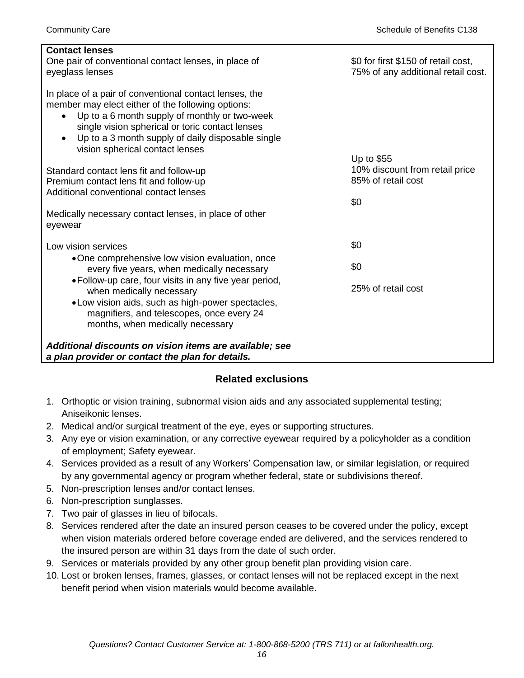| <b>Contact lenses</b>                                                                                                                                                                                                                                                                                                             |                                                                            |
|-----------------------------------------------------------------------------------------------------------------------------------------------------------------------------------------------------------------------------------------------------------------------------------------------------------------------------------|----------------------------------------------------------------------------|
| One pair of conventional contact lenses, in place of                                                                                                                                                                                                                                                                              | \$0 for first \$150 of retail cost,                                        |
| eyeglass lenses                                                                                                                                                                                                                                                                                                                   | 75% of any additional retail cost.                                         |
| In place of a pair of conventional contact lenses, the<br>member may elect either of the following options:<br>Up to a 6 month supply of monthly or two-week<br>$\bullet$<br>single vision spherical or toric contact lenses<br>Up to a 3 month supply of daily disposable single<br>$\bullet$<br>vision spherical contact lenses |                                                                            |
| Standard contact lens fit and follow-up<br>Premium contact lens fit and follow-up<br>Additional conventional contact lenses<br>Medically necessary contact lenses, in place of other<br>eyewear                                                                                                                                   | Up to $$55$<br>10% discount from retail price<br>85% of retail cost<br>\$0 |
| Low vision services                                                                                                                                                                                                                                                                                                               | \$0                                                                        |
| •One comprehensive low vision evaluation, once<br>every five years, when medically necessary                                                                                                                                                                                                                                      | \$0                                                                        |
| • Follow-up care, four visits in any five year period,<br>when medically necessary                                                                                                                                                                                                                                                | 25% of retail cost                                                         |
| • Low vision aids, such as high-power spectacles,<br>magnifiers, and telescopes, once every 24<br>months, when medically necessary                                                                                                                                                                                                |                                                                            |
| Additional discounts on vision items are available; see<br>a plan provider or contact the plan for details.                                                                                                                                                                                                                       |                                                                            |

### **Related exclusions**

- 1. Orthoptic or vision training, subnormal vision aids and any associated supplemental testing; Aniseikonic lenses.
- 2. Medical and/or surgical treatment of the eye, eyes or supporting structures.
- 3. Any eye or vision examination, or any corrective eyewear required by a policyholder as a condition of employment; Safety eyewear.
- 4. Services provided as a result of any Workers' Compensation law, or similar legislation, or required by any governmental agency or program whether federal, state or subdivisions thereof.
- 5. Non-prescription lenses and/or contact lenses.
- 6. Non-prescription sunglasses.
- 7. Two pair of glasses in lieu of bifocals.
- 8. Services rendered after the date an insured person ceases to be covered under the policy, except when vision materials ordered before coverage ended are delivered, and the services rendered to the insured person are within 31 days from the date of such order.
- 9. Services or materials provided by any other group benefit plan providing vision care.
- 10. Lost or broken lenses, frames, glasses, or contact lenses will not be replaced except in the next benefit period when vision materials would become available.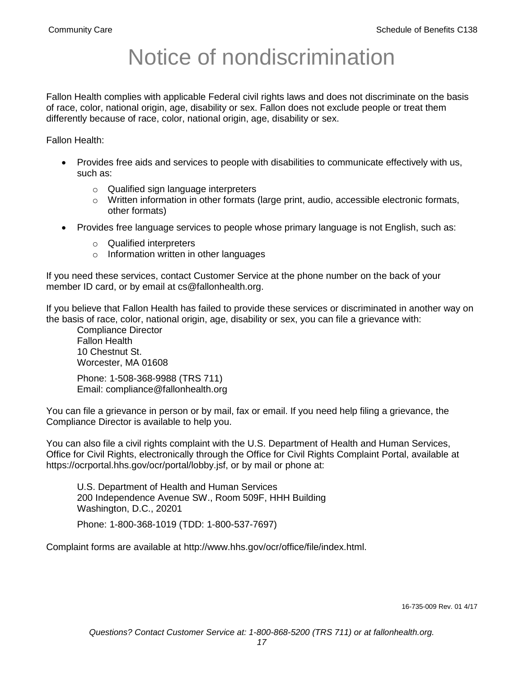# Notice of nondiscrimination

Fallon Health complies with applicable Federal civil rights laws and does not discriminate on the basis of race, color, national origin, age, disability or sex. Fallon does not exclude people or treat them differently because of race, color, national origin, age, disability or sex.

Fallon Health:

- Provides free aids and services to people with disabilities to communicate effectively with us, such as:
	- o Qualified sign language interpreters
	- $\circ$  Written information in other formats (large print, audio, accessible electronic formats, other formats)
- Provides free language services to people whose primary language is not English, such as:
	- o Qualified interpreters
	- o Information written in other languages

If you need these services, contact Customer Service at the phone number on the back of your member ID card, or by email at cs@fallonhealth.org.

If you believe that Fallon Health has failed to provide these services or discriminated in another way on the basis of race, color, national origin, age, disability or sex, you can file a grievance with:

Compliance Director Fallon Health 10 Chestnut St. Worcester, MA 01608

Phone: 1-508-368-9988 (TRS 711) Email: compliance@fallonhealth.org

You can file a grievance in person or by mail, fax or email. If you need help filing a grievance, the Compliance Director is available to help you.

You can also file a civil rights complaint with the U.S. Department of Health and Human Services, Office for Civil Rights, electronically through the Office for Civil Rights Complaint Portal, available at https://ocrportal.hhs.gov/ocr/portal/lobby.jsf, or by mail or phone at:

U.S. Department of Health and Human Services 200 Independence Avenue SW., Room 509F, HHH Building Washington, D.C., 20201

Phone: 1-800-368-1019 (TDD: 1-800-537-7697)

Complaint forms are available at http://www.hhs.gov/ocr/office/file/index.html.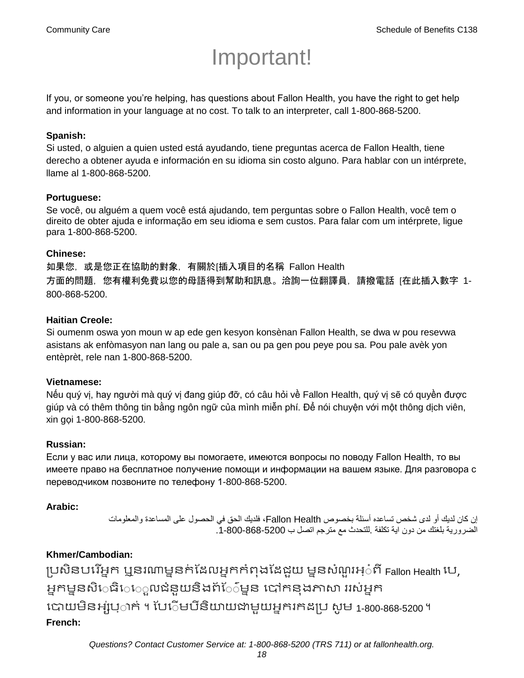# Important!

If you, or someone you're helping, has questions about Fallon Health, you have the right to get help and information in your language at no cost. To talk to an interpreter, call 1-800-868-5200.

#### **Spanish:**

Si usted, o alguien a quien usted está ayudando, tiene preguntas acerca de Fallon Health, tiene derecho a obtener ayuda e información en su idioma sin costo alguno. Para hablar con un intérprete, llame al 1-800-868-5200.

#### **Portuguese:**

Se você, ou alguém a quem você está ajudando, tem perguntas sobre o Fallon Health, você tem o direito de obter ajuda e informação em seu idioma e sem custos. Para falar com um intérprete, ligue para 1-800-868-5200.

#### **Chinese:**

如果您,或是您正在協助的對象,有關於[插入項目的名稱 Fallon Health 方面的問題,您有權利免費以您的母語得到幫助和訊息。洽詢一位翻譯員,請撥電話 [在此插入數字 1- 800-868-5200.

#### **Haitian Creole:**

Si oumenm oswa yon moun w ap ede gen kesyon konsènan Fallon Health, se dwa w pou resevwa asistans ak enfòmasyon nan lang ou pale a, san ou pa gen pou peye pou sa. Pou pale avèk yon entèprèt, rele nan 1-800-868-5200.

#### **Vietnamese:**

Nếu quý vị, hay người mà quý vị đang giúp đỡ, có câu hỏi về Fallon Health, quý vị sẽ có quyền được giúp và có thêm thông tin bằng ngôn ngữ của mình miễn phí. Để nói chuyện với một thông dịch viên, xin gọi 1-800-868-5200.

#### **Russian:**

Если у вас или лица, которому вы помогаете, имеются вопросы по поводу Fallon Health, то вы имеете право на бесплатное получение помощи и информации на вашем языке. Для разговора с переводчиком позвоните по телефону 1-800-868-5200.

### **Arabic:**

إن كان لديك أو لدى شخص تساعده أسئلة بخصوص Health Fallon، فلديك الحق في الحصول على المساعدة والمعلومات الضرورية بلغتك من دون اية تكلفة .للتحدث مع مترجم اتصل ب .1-800-868-5200

### **Khmer/Cambodian:**

ប្រសិនបរើអ្នក ឬនរណាម្ននក់ដែលអ្នកកំពុងដែដួយ ម្ននសំណួរអ្៎ពី Fallon Health បេ, អ្នកម្ននសិេធិេេ្លលជំនួយនិងព័ែ៌ម្នន បៅកនុងភាសា ររស់អ្នក រោយម្ិនអ្ស់រ្ំ ក់ ។ ដររំម្ រនី ិយាយជាម្ួយអ្នក កែប្រ សូ ម្ 1-800-868-5200 ។ **French:**